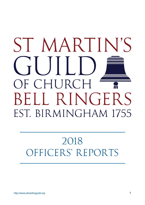# ST MARTIN'S OF CHURCH BELL RINGERS EST. BIRMINGHAM 1755

## 2018 OFFICERS' REPORTS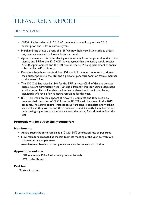## treasurer's Report

#### TRACY STEVENS

- £1804 of subs collected in 2018. 46 members have still to pay their 2018 subscription and15 from previous years.
- Merchandising shows a profit of £128. We now hold very little stock as orders only take approximately 1 week to turn around.
- Apportionments this is the sharing out of money from the general fund into the Library and BRF. At the 2017 AGM it was agreed that the library would receive £75.00 apportionment and the BRF would receive 25% apportionment of annual subs totalling £451 this year.
- Donations have been received from LVP and LM members who wish to donate their subscriptions to the BRF and a personal generous donation from a member to the general fund.
- The 100 Club has raised £1144 for the BRF this year £139 of this are donated prizes. We are administering the 100 club differently this year using a dedicated gmail account. This will enable the load to be shared and monitored by key individuals. We have a few numbers remaining for this year.
- BRF –The work on the clappers at Knowle is complete and they have now received their donation of £250 from the BRF. This will be shown in the 2019 accounts. The Sound control installation at Harborne is complete and working very well and they will receive their donation of £500 shortly. If any towers are undertaking any essential maintenance, consider asking for a donation from the BRF

#### **Proposals will be put to the meeting for:**

#### **Membership**

- Annual subscription to remain at £10 with 50% concession rate as per rules.
- New members proposed at the last Business meeting of the year £5 with 50% concession rate as per rules
- Associate membership currently equivalent to the annual subscription

#### **Apportionments to:**

- BRF (currently 25% of full subscriptions collected)
- $£75$  to the library

#### **Peal fee**

•To remain at zero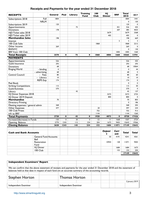#### **Receipts and Payments for the year ended 31 December 2018**

| <b>RECEIPTS</b>                  |                              | General | Peal        | Library | <b>Training</b><br><b>Fund</b> | 100<br><b>Club</b> | HJ<br>Dinner  | <b>BRF</b>  | Total<br>2018 | 2017            |
|----------------------------------|------------------------------|---------|-------------|---------|--------------------------------|--------------------|---------------|-------------|---------------|-----------------|
| Subscriptions 2018               | Full                         | 1804    |             |         |                                |                    |               |             | 1804          | 1441            |
|                                  | <b>NRLM</b>                  |         |             |         |                                |                    |               |             | 0             | 150             |
| Subscriptions 2019               |                              | 120     |             |         |                                |                    |               |             | 120           | 0               |
| Apportionments                   |                              |         |             | 75      |                                |                    |               | 45 I        | 526           | 435             |
| Donations                        |                              | 178     |             |         |                                |                    |               | 207         | 385           | 4033            |
| HJD Ticket sales 2018            |                              |         |             |         |                                |                    | 3679          |             | 3679          | 3368            |
| HJD Ticket sales 2019            |                              |         |             |         |                                |                    | 405           |             | 405           | 0               |
| <b>Merchandise Sales</b>         |                              | 198     |             |         |                                |                    |               |             | 198           | 669             |
| Interest                         |                              |         |             |         |                                |                    |               | 5           | 5             | 3               |
| 100 Club Subs                    |                              |         |             |         |                                | 1868               |               |             | 1868          | 2212            |
| Other Income                     |                              | 269     |             |         |                                |                    |               |             | 269           | 0               |
| <b>RWNYC</b>                     |                              |         |             |         |                                |                    |               |             | 0             | 130             |
| BRF from 100 Club                |                              |         |             |         |                                |                    |               | 1005        | 1005          | 1260            |
| <b>Total Receipts</b>            |                              | 2570    | 0           | 75      | $\mathbf 0$                    | 1868               | 4084          | 1668        | 10265         | 13701           |
| <b>PAYMENTS</b>                  |                              |         |             |         |                                |                    |               |             |               |                 |
|                                  |                              |         |             |         |                                |                    |               |             |               |                 |
| Apportionments                   |                              | 526     |             |         |                                |                    |               |             | 526           | 435             |
| Guild Insurance                  |                              | 293     |             |         |                                |                    |               |             | 293           | 293             |
| Donations                        |                              | 68      |             |         |                                |                    |               |             | 68            | 10064           |
| <b>Ringing World</b>             | - binding                    | 0       |             |         |                                |                    |               |             | 0             | 44              |
|                                  | - advertising                | 68      |             |         |                                |                    |               |             | 68            | 0               |
| Central Council:                 | - Fees                       | 80      |             |         |                                |                    |               |             | 80            | 60              |
|                                  | - Library                    | 10      |             |         |                                |                    |               |             | 10            | $\overline{10}$ |
|                                  | <b>REPS Exp</b>              | 174     |             |         |                                |                    |               |             | 174           | $\mathbf 0$     |
| Peal Book                        |                              |         |             |         |                                |                    |               |             | 0             | 0               |
| <b>Striking Competitions</b>     |                              | 115     |             |         |                                |                    |               |             | 115           | 50              |
| <b>Guild Activities</b>          |                              | 570     |             |         |                                |                    |               |             | 570           | 0               |
| Library                          |                              |         |             | 45      |                                |                    |               |             | 45            | 137             |
| HJ Dinner Expenses 2018          |                              |         |             |         |                                |                    | 3273          |             | 3273          | 2735            |
| HJ Dinner 2019 Deposit           |                              |         |             |         |                                |                    | 800           |             | 800           | 0               |
| <b>Merchandise</b>               |                              | 70      |             |         |                                |                    |               |             | 70            | 803             |
| <b>Directory Printing</b>        |                              |         |             |         |                                |                    |               |             | 0             | 186             |
| Meeting expenses / general admin |                              | 268     |             |         |                                |                    |               |             | 268           | 202             |
| Other Expenses                   |                              | 477     |             |         |                                | 20                 |               |             | 497           | 234             |
| 100 Club Prizes                  |                              |         |             |         |                                | 755                |               |             | 755           | 913             |
| trfr to BRF                      |                              |         |             |         |                                | 1144               |               |             | 1144          | 1260            |
| <b>Total Payments</b>            |                              | 2720    | $\mathbf 0$ | 45      | $\mathbf o$                    | 1920               | 4073          | $\mathbf 0$ | 8758          | 17426           |
| Increase/(decrease) in Funds     |                              | $-150$  | 0           | 30      | 0                              | -52                | П             | 1668        | 1507          | -3724           |
| Opening Balance                  |                              | 2770    | 1243        | I I 5   | 234                            | 204                | 1673          | 9403        | 15642         | 19366           |
| <b>Closing Balance</b>           |                              | 2620    | 1243        | 145     | 234                            | 152                | 1684          | 11071       | 17149         | 15642           |
|                                  |                              |         |             |         |                                |                    |               |             |               |                 |
| <b>Cash and Bank Accounts</b>    |                              |         |             |         |                                |                    | <b>Deposi</b> | Curr        | <b>Total</b>  | <b>Total</b>    |
|                                  |                              |         |             |         |                                |                    | t             | ent         |               |                 |
|                                  | <b>General Fund Accounts</b> |         |             |         |                                |                    | 50            | 4191        | 4241          | 4361            |
|                                  | Bell<br>Restoration<br>Fund  |         |             |         |                                |                    | 10944         | 128         | 11071         | 9403            |
|                                  | HJ Dinner                    |         |             |         |                                |                    |               | 1684        | 1684          | 1673            |
|                                  | 100 Club                     |         |             |         |                                |                    |               | 152         | 152           | 204             |
|                                  |                              |         |             |         |                                |                    |               |             | 17149         | 15642           |

| <b>Independent Examiners' Report</b> |                                                                                                                                                                                                                                    |  |                      |  |  |  |  |  |                |
|--------------------------------------|------------------------------------------------------------------------------------------------------------------------------------------------------------------------------------------------------------------------------------|--|----------------------|--|--|--|--|--|----------------|
|                                      |                                                                                                                                                                                                                                    |  |                      |  |  |  |  |  |                |
|                                      | We can confirm that the above statement of receipts and payments for the year ended 31 December 2018 and the statement of<br>balances held at that date in respect of each fund are an accurate summary of the accounting records. |  |                      |  |  |  |  |  |                |
|                                      |                                                                                                                                                                                                                                    |  |                      |  |  |  |  |  |                |
| <b>Stephen Horton</b>                |                                                                                                                                                                                                                                    |  | <b>Thomas Horton</b> |  |  |  |  |  |                |
|                                      |                                                                                                                                                                                                                                    |  |                      |  |  |  |  |  | 2 January 2019 |
| Independent Examiner                 |                                                                                                                                                                                                                                    |  | Independent Examiner |  |  |  |  |  |                |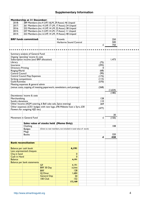#### **Supplementary Information**

|                           | <b>Membership at 31 December:</b>         |                                                                         |        |                        |             |            |  |
|---------------------------|-------------------------------------------|-------------------------------------------------------------------------|--------|------------------------|-------------|------------|--|
| 2018:                     |                                           | 289 Members-(inc:4 LVP, 16LM, 29 Assoc) 46 Unpaid                       |        |                        |             |            |  |
| 2017:                     |                                           | 261 Members-(inc: 4 LVP, 17 LM, 17 Assoc) 24 Unpaid                     |        |                        |             |            |  |
| 2016:                     |                                           | 253 Members-(inc: 4 LVP, 14 LM, 22 Assoc) 38 Unpaid                     |        |                        |             |            |  |
| 2015:                     |                                           | 247 Members-(inc 5 LVP, 14 LM, 17 Assoc) 11 Unpaid                      |        |                        |             |            |  |
| 2014:                     |                                           | 253 Members-(inc: 6 LVP, 14 LM, 19 Assoc) 48 Unpaid                     |        |                        |             |            |  |
|                           |                                           |                                                                         |        |                        |             |            |  |
|                           | <b>BRF funds committed:</b>               |                                                                         | Knowle |                        |             | 250        |  |
|                           |                                           |                                                                         |        | Harborne Sound Control |             | 500        |  |
|                           |                                           |                                                                         |        |                        | £           | 750        |  |
|                           |                                           |                                                                         |        |                        |             |            |  |
|                           |                                           |                                                                         |        |                        |             |            |  |
|                           | Summary analysis of General Fund:         |                                                                         |        |                        |             |            |  |
|                           | Ongoing 'operating' income & costs        |                                                                         |        |                        |             |            |  |
|                           | Subscription income (excl BRF allocation) |                                                                         |        |                        |             | 1,473      |  |
| Library                   |                                           |                                                                         |        |                        | (75)        |            |  |
| Insurance                 |                                           |                                                                         |        |                        | (293)       |            |  |
| <b>Directory Printing</b> |                                           |                                                                         |        |                        | $\mathbf 0$ |            |  |
| Ringing World             |                                           |                                                                         |        |                        | (68)        |            |  |
| <b>Central Council</b>    |                                           |                                                                         |        |                        | (90)        |            |  |
|                           | <b>Central Council Rep Expenses</b>       |                                                                         |        |                        | (174)       |            |  |
| Striking competitions     |                                           |                                                                         |        |                        | (115)       |            |  |
| <b>Guild Activities</b>   |                                           |                                                                         |        |                        | (570)       |            |  |
|                           | Meeting expenses & general admin          |                                                                         |        |                        |             |            |  |
|                           |                                           | (venue costs, copying of meeting paperwork, newsletters, and postage)   |        |                        | (268)       |            |  |
|                           |                                           |                                                                         |        |                        |             | (1,654)    |  |
|                           |                                           |                                                                         |        |                        |             | (180)      |  |
|                           | Discretionary' income & costs             |                                                                         |        |                        |             |            |  |
| Merchandising             |                                           |                                                                         |        |                        | 128         |            |  |
| Sundry donations          |                                           |                                                                         |        |                        | 110         |            |  |
|                           |                                           | Other Income (AGM catering, 6 Bell cake sale, Spice evening)            |        |                        | 269         |            |  |
|                           |                                           | Other expenses (£351 badges with new logo, £96 Website host x 5yrs, £30 |        |                        | (477)       |            |  |
|                           | Flowers for outgoing HJD sec)             |                                                                         |        |                        |             |            |  |
|                           |                                           |                                                                         |        |                        |             |            |  |
|                           |                                           |                                                                         |        |                        |             | 30         |  |
|                           | Movement in General Fund                  |                                                                         |        |                        | £           | (150)      |  |
|                           |                                           |                                                                         |        |                        |             |            |  |
|                           |                                           | Sales value of stocks held (Memo Only)                                  |        |                        |             |            |  |
|                           | Clothing                                  |                                                                         |        |                        |             | 108        |  |
|                           | <b>Badges</b>                             | (Given to new members, not included in total value of stock)            |        |                        |             |            |  |
|                           | <b>Mugs</b>                               |                                                                         |        |                        |             |            |  |
|                           | <b>Books</b>                              |                                                                         |        |                        |             | 320<br>428 |  |
|                           |                                           |                                                                         |        |                        | £           |            |  |
|                           | <b>Bank reconciliation</b>                |                                                                         |        |                        |             |            |  |
|                           |                                           |                                                                         |        |                        |             |            |  |
| Balance per cash book     |                                           |                                                                         |        | 4,191                  |             |            |  |
|                           | Less unpresented cheques                  |                                                                         |        |                        |             |            |  |
| Chq in hand               |                                           |                                                                         |        | $\mathbf 0$            |             |            |  |
| Cash in Hand              |                                           |                                                                         |        | $\mathbf{0}$           |             |            |  |
| <b>Balance</b>            |                                           |                                                                         |        | 4,191                  |             |            |  |
|                           | Balance per bank statements               |                                                                         |        |                        |             |            |  |
|                           |                                           | <b>GF</b>                                                               |        | 4,191                  |             |            |  |
|                           |                                           | BRF 30 Day                                                              |        | 10,944                 |             |            |  |
|                           |                                           | <b>BRF</b>                                                              |        | 128                    |             |            |  |
|                           |                                           | HJ Diner                                                                |        | 1,684                  |             |            |  |
|                           |                                           | <b>General Dep</b>                                                      |        | 50                     |             |            |  |
|                           |                                           | 100 Club                                                                |        | 152                    |             |            |  |
|                           |                                           |                                                                         |        | 17,149                 |             |            |  |
|                           |                                           |                                                                         |        |                        |             |            |  |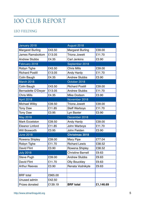## 100 CLUB REPORT

#### LEO FIELDING

| January 2018            |         | August 2018              |           |
|-------------------------|---------|--------------------------|-----------|
| <b>Margaret Burling</b> | £43.50  | <b>Margaret Burling</b>  | £39.00    |
| <b>James Ramsbottom</b> | £13.05  | <b>Triona Jowett</b>     | £11.70    |
| <b>Andrew Stubbs</b>    | £4.35   | <b>Carl Jenkins</b>      | £3.90     |
| February 2018           |         | September 2018           |           |
| Robyn Tighe             | £43.50  | <b>Chris Mills</b>       | £39.00    |
| <b>Richard Postill</b>  | £13.05  | <b>Andy Hardy</b>        | £11.70    |
| Colin Baugh             | £4.35   | <b>Andrew Stubbs</b>     | £3.90     |
| <b>March 2018</b>       |         | October 2018             |           |
| Colin Baugh             | £43.50  | <b>Richard Postill</b>   | £39.00    |
| Bernadette O'Dwyer      | £13.05  | <b>Andrew Stubbs</b>     | £11.70    |
| <b>Chris Mills</b>      | £4.35   | <b>Mike Dodson</b>       | £3.90     |
| <b>April 2018</b>       |         | November 2018            |           |
| <b>Michael Wilby</b>    | £39.50  | <b>Triona Jowett</b>     | £39.00    |
| <b>Tony Daw</b>         | £11.85  | <b>Steff Warboys</b>     | £11.70    |
| <b>Tony Daw</b>         | £3.95   | Lyn Baxter               | £3.90     |
| <b>May 2018</b>         |         | December 2018            |           |
| <b>Mark Eccelston</b>   | £39.50  | Andy Hardy               | £39.00    |
| <b>Eleanor Linford</b>  | £11.85  | John Warboys             | £11.70    |
| <b>Will Bosworth</b>    | £3.95   | John Fielden             | £3.90     |
| <b>June 2018</b>        |         | <b>Christmas 2018</b>    |           |
| Rowena Shipley          | £39.00  | <b>Mary Pipe</b>         | £77.04    |
| Robyn Tighe             | £11.70  | <b>Richard Lewis</b>     | £38.52    |
| <b>David Flint</b>      | £3.90   | Rowena Shipley           | £38.52    |
| <b>July 2018</b>        |         | <b>Christine Barnell</b> | £9.63     |
| Steve Pugh              | £39.00  | <b>Andrew Stubbs</b>     | £9.63     |
| David Flint             | £11.70  | <b>Olly Bouckley</b>     | £9.63     |
| <b>Arthur Reeves</b>    | £3.90   | Renata Vodnikyte         | £9.63     |
|                         |         |                          |           |
| <b>BRF</b> total        | £965.00 |                          |           |
| Unused admin            | £42.50  |                          |           |
| Prizes donated          | £139.19 | <b>BRF</b> total         | £1,146.69 |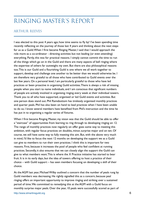### Ringing Master's Report

#### ARTHUR REEVES

I was elected to this post 4 years ago; how time seems to fly by! I've been spending time recently reflecting on the journey of those last 4 years and thinking about the next steps for us as a Guild. When I first became Ringing Master, I said that I would approach the role more as a co-ordinator - directing activities but not leading (or even attending) everything. Partly, this was for practical reasons. I simply cannot commit the time to run all the things which go on in the Guild and there are many aspects of bell ringing where the expertise of others far outweighs my own. But there are also philosophical reasons too. This is our Guild and a flourishing Guild is one where we all work together to support, develop and challenge one another to be better than we would otherwise be. I am therefore very grateful to all those who have contributed to Guild events over the last few years. On a personal level, I am particularly grateful to those who have led practices or been proactive in organising Guild activities. There is always a risk of missing people when you start to name individuals, and I am conscious that significant numbers of people are actively involved in organising ringing every week at their individual towers. Thank you to all who have supported, organised or led Guild events and activities. But one person does stand out. Phil Ramsbottom has tirelessly organised monthly practices and quarter peals. Phil has also been on hand to lead practices when I have been unable to do so. I know several members have benefited from Phil's instruction and the time he has put in to organising a regular series of fixtures.

When I first became Ringing Master, my vision was that the Guild should be able to offer a "staircase" of opportunities from learning to ring through to developing ringing on 12. The range of monthly practices now regularly on offer goes some way to meeting this ambition, with regular focus practices on doubles, minor, surprise major and on ten. Of course, we still have some way to fully meeting this aim. But, with the above very much in mind, I'd like to focus the next 12 months on developing the support we as a Guild can give to members to run their own practices. I think this is important for two reasons. First, because it increases the pool of people who feel confident at running practices. Secondly, it also ensures that we can closely align the support the Guild can give to what members want. This is where the X Practice initiative has started to bear fruit. It is in its early days, but the idea of towers offering to host a practice of their choice – with Guild support – has seen members focusing on developing a skill of their choice.

At the AGM last year, Michael Wilby outlined a concern that the number of peals rung by Guild members was decreasing. He rightly signalled this as a concern, because peal ringing offers an important opportunity to improve ringing and striking over a sustained period of time. We committed to remedying this at the AGM with a Guild focus on monthly surprise major peals. Over the year, 10 peals were successfully scored as part of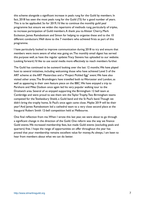this scheme alongside a significant increase in peals rung for the Guild by members. In fact, 2018 has seen the most peals rung for the Guild (73) for a good number of years. This is to be applauded. So for 2019, I'd like to continue the monthly guild peal programme but ensure we widen the repertoire of methods rung, particularly of triples, to increase participation of Guild members. A thank you to Alistair Cherry, Mark Eccleston, James Ramsbottom and Simon for helping to organise these and to the 10 different conductors. Well done to the 7 members who achieved firsts as part of this programme.

I have particularly looked to improve communication during 2018 to try and ensure that members were more aware of what was going on. The monthly email digest has served this purpose well, as have the regular updates Tracy Stevens has uploaded to our website. Looking forward, I'd like to use social media more effectively to reach members further.

The Guild has continued to be outward looking over the last 12 months. We have played host to several initiatives, including welcoming those who have achieved Level 5 of the ART scheme at the ART Masterclass and a "Project Pickled Egg" event. We have also visited other areas. The Brumdingers have travelled both to Worcester and London, as well as appearing in their own feature piece on the BBC. We have enjoyed a trip to Pershore and Mike Dodson once again led his very popular walking tour to the Droitwich area. Several of us enjoyed supporting the Birmingham 12 bell team at Cambridge and were proud to see them win the Taylor Trophy. Two Birmingham teams competed for the Tewkesbury Shield, a Guild band and the St Paul's band. Though we didn't bring the trophy home, St Paul's once again came close. Maybe 2019 will be their year? And James Ramsbottom led a cathedral team to a very close second place at the Inaugural Robert Smith 12-bell competition held at Melbourne.

One final reflection from me. When I wrote this last year, we were about to go through a significant change in the direction of the Guild. One reform was the way we finance Guild events. We increased membership fees, but made Guild events (excluding peals and quarters) free. I hope the range of opportunities on offer throughout the year has proved that your membership remains excellent value for money. As always, I am keen to hear from members about what we can do better.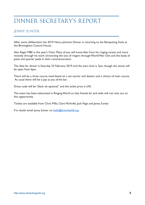## dinner secretary's Report

#### JENNY SUNTER

After some deliberation the 2019 Henry Johnson Dinner is returning to the Banqueting Suite at the Birmingham Council House.

Alan Regin MBE is this year's Chair. Many of you will know Alan from his ringing career, and more recently through his work chronicling the loss of ringers through World War One and the body of peals and quarter peals in their commemoration.

The date for dinner is Saturday 23 February 2019 and the start time is 7pm, though the venue will be open from 6pm.

There will be a three course meal based on a set starter and dessert and a choice of main course. As usual there will be a pay as you drink bar.

Dress code will be "black tie optional" and the ticket price is £45.

The event has been advertised in Ringing World so that friends far and wide will not miss out on this opportunity.

Tickets are available from Chris Mills, Clare McArdle, Jack Page and Jenny Sunter.

If in doubt email jenny Sunter on [bells@brierleyhill.org](mailto:bells@brierleyhill.org)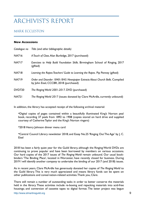## Archivist's Report

#### MARK ECCLESTON

#### **New Accessions**

| Catalogue no  | Title (and other bibliographic details)                                                                                 |
|---------------|-------------------------------------------------------------------------------------------------------------------------|
| <b>NA716</b>  | A Touch of Class. Alan Burbidge, 2017 (purchased)                                                                       |
| <b>NA717</b>  | Exercises to Help Build Foundation Skills. Birmingham School of Ringing, 2017<br>(gifted)                               |
| <b>NA718</b>  | Learning the Ropes: Teachers' Guide to Learning the Ropes. Pip Penney (gifted)                                          |
| <b>NA719</b>  | Order and Disorder 1840-1845: Newspaper Extracts About Church Bells. Compiled<br>by John Eisel, CCCBR, 2018 (purchased) |
| <b>DVD720</b> | The Ringing World 2001-2017. DVD (purchased)                                                                            |
| <b>NA721</b>  | The Ringing World 2017 (issues donated by Clare McArdle, currently unbound)                                             |

In addition, the library has accepted receipt of the following archival material:

•Digital copies of pages contained within a beautifully illuminated King's Norton peal book, recording 37 peals from 1892 to 1908 (copies stored on hard drive and supplied courtesy of Catherine Taylor and the King's Norton ringers)

•2018 Henry Johnson dinner menu card

•Central Council Library newsletter 2018; and Essay No.25 'Ringing Out The Age' by J. C. Eisel

2018 has been a fairly quiet year for the Guild library, although the Ringing World DVDs are continuing to prove popular and have been borrowed by members on various occasions. Our hard copies of the 2017 issues of *The Ringing World* remain unbound. Our usual bookbinders 'The Binding Place', located in Worcester, have recently closed for business. During 2019 I will identify another company to undertake the binding of our 2017 (and 2018) issues.

As in recent years, Clare McArdle has generously donated her copies of *The Ringing World* to the Guild library. This is very much appreciated and means library funds can be spent on other publications and conservation-related activities. Thank you, Clare.

There still remain a number of outstanding tasks in order to better conserve the materials held in the library. These activities include re-boxing and repacking materials into acid-free housings; and conversion of cassette tapes to digital format. The latter project was begun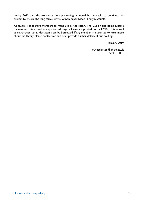during 2015 and, the Archivist's time permitting, it would be desirable to continue this project to ensure the long-term survival of non-paper based library materials.

As always, I encourage members to make use of the library. The Guild holds items suitable for new recruits as well as experienced ringers. There are printed books, DVDs, CDs as well as manuscript items. Most items can be borrowed. If any member is interested to learn more about the library, please contact me and I can provide further details of our holdings.

January 2019

m.r.eccleston@bham.ac.uk 07921 813051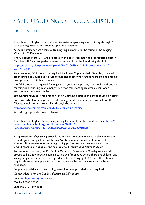## safeguarding officer's Report

#### TRISH EVERETT

The Church of England has continued to make safeguarding a key priority through 2018, with training material and courses updated as required.

A useful summary, particularly of training requirements can be found in the Ringing World, 21/28 December

The Guidance Note 3 – Child Protection in Bell Towers has not been updated since in October 2017, so that guidance remains current. It can be found using this link:

[https://cccbr.org.uk/wp-content/uploads/2017/10/GN3-Child-Protection-Issue-12-](https://cccbr.org.uk/wp-content/uploads/2017/10/GN3-Child-Protection-Issue-12-Oct-2017.pdf) [Oct-2017.pdf](https://cccbr.org.uk/wp-content/uploads/2017/10/GN3-Child-Protection-Issue-12-Oct-2017.pdf)

As a reminder, DBS checks are required for Tower Captains, their Deputies, those who teach ringing to young people face to face and those who transport children as a formal arrangement, even if this is a one off.

No DBS checks are required for ringers in a general supporting role, unplanned one off teaching or deputising in an emergency or for transporting children as part of an arrangement between families.

Safeguarding training is required for Tower Captains, deputies and those teaching ringing.

For those who have not yet attended training, details of courses are available on the Diocesan website, and are booked through the website:

<http://www.cofebirmingham.com/hub/safeguarding/training/>

All training is provided free of charge.

The Church of England Parish Safeguarding Handbook can be found on line at [https://](https://www.churchofengland.org/sites/default/files/2018-10/Parish%20Safeguarding%20Handbook%20October%202018.pdf) [www.churchofengland.org/sites/default/files/2018-10/](https://www.churchofengland.org/sites/default/files/2018-10/Parish%20Safeguarding%20Handbook%20October%202018.pdf) [Parish%20Safeguarding%20Handbook%20October%202018.pdf](https://www.churchofengland.org/sites/default/files/2018-10/Parish%20Safeguarding%20Handbook%20October%202018.pdf)

All appropriate safeguarding procedures and risk assessments were in place when the Brumdingers took part in the National Youth Competition held in London in the summer. Risk assessments and safeguarding procedures are also in place for the Brumdingers young peoples ringing group held weekly at St Mary's Moseley.

As I reported last year, the PCCs of St Mary's and St Anne's in Moseley required all groups to have safe practice guidelines in place for groups where there are children and young people, so these have been produced for bell ringing. If PCCs of other churches require these to be in place for bell ringing, we are happy to share what we have produced.

Support and advice on safeguarding issues has been provided when required.

Contact details for the Guild's Safeguarding Officer are:

Email: [trish\\_everett@hotmail.com](mailto:trish_everett@hotmail.com)

Mobile: 07968 362501 Landline: 0121 449 1088.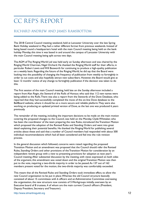## cc rep's Report

#### RICHARD ANDREW AND JAMES RAMSBOTTOM

The 2018 Central Council meeting weekend, held at Lancaster University over the late Spring Bank Holiday weekend in May, had a rather different format from previous weekends. Instead of being based round a headquarters hotel with the main Council meeting being held on the bank holiday Monday, this time it was based in and around the campus of Lancaster University with the main Council meeting being split across two days.

The AGM of The Ringing World Ltd was held early on Sunday afternoon and was chaired by the Ringing World Chairman, Nigel Orchard. He thanked the Ringing World staff for their efforts, in particular Robert Lewis and Will Bosworth for continuing to produce a high-quality publication on a weekly basis. Regarding the future of the Ringing World, he did say that the Board were looking into the possibility of changing the frequency of publication from weekly to fortnightly in order to cut costs and also hopefully attract new subscribers. However, the Board would give at least 12 months' notice of any change to fortnightly publication if the decision was taken to do this.

The first session of the main Council meeting, held late on the Sunday afternoon included a report from Alan Regin, the Steward of the Rolls of Honour, who said that 112 new names were being added to the Rolls. There was also a report from the Stewards of the Dove Database, who reported that they had successfully completed the move of the on-line Dove database to the BellBoard website, where it should be on a more secure and reliable platform. They were also working on producing an updated printed version of Dove, as the last one was produced 6 years previously.

The remainder of the meeting, including the important decisions to be made on the main motion covering the proposed changes to the Council, was held on the Monday. Clyde Whittaker, who has been the coordinator of the team preparing the new Rules, introduced the Transition Motion which proposed the adoption of the Revised Rules and Standing Orders and went into great detail explaining their potential benefits. He thanked the Ringing World for publishing several articles about these and said that a number of Council members had responded with about 500 individual recommendations which had all been considered and fed into the rule revision process.

In the general discussion which followed, concerns were raised regarding the proposed Transition Motion and an amendment was proposed that the Council should refer the Revised Rules, Standing Orders and other provisions of the Transition Motion for consideration by an independent review group with a view to presenting provisions for adoption at next year's Council meeting. After substantial discussion by the meeting, with views expressed on both sides of the argument, this amendment was voted down and the original Transition Motion was then put to the vote, requiring a two-thirds majority in order to be passed. As 137 out of 162 members present voted for the motion, the two-thirds majority was comfortably exceeded.

This meant that all the Revised Rules and Standing Orders took immediate effect, to allow the new Council organisation to be put in place. Whereas the old Council structure basically consisted of about 15 committees with 6 officers and an Administrative Committee overseeing the organisation, the new structure now consists of 5 Workgroups initially, overseen by an Executive board of 8 trustees, 4 of whom are the main current Council officers (President, Deputy President, Secretary and Treasurer).